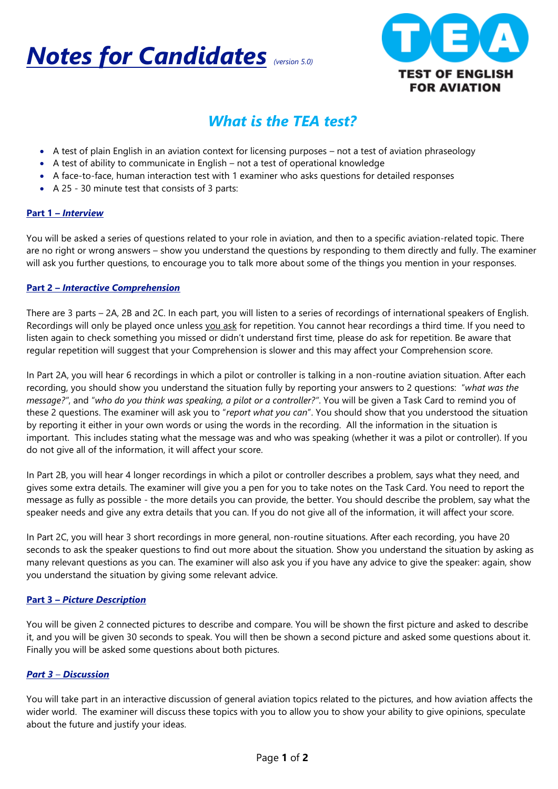



#### *What is the TEA test?*

- A test of plain English in an aviation context for licensing purposes not a test of aviation phraseology
- A test of ability to communicate in English not a test of operational knowledge
- A face-to-face, human interaction test with 1 examiner who asks questions for detailed responses
- A 25 30 minute test that consists of 3 parts:

#### **Part 1 –** *Interview*

You will be asked a series of questions related to your role in aviation, and then to a specific aviation-related topic. There are no right or wrong answers – show you understand the questions by responding to them directly and fully. The examiner will ask you further questions, to encourage you to talk more about some of the things you mention in your responses.

#### **Part 2 –** *Interactive Comprehension*

There are 3 parts – 2A, 2B and 2C. In each part, you will listen to a series of recordings of international speakers of English. Recordings will only be played once unless you ask for repetition. You cannot hear recordings a third time. If you need to listen again to check something you missed or didn't understand first time, please do ask for repetition. Be aware that regular repetition will suggest that your Comprehension is slower and this may affect your Comprehension score.

In Part 2A, you will hear 6 recordings in which a pilot or controller is talking in a non-routine aviation situation. After each recording, you should show you understand the situation fully by reporting your answers to 2 questions: "*what was the message?"*, and "*who do you think was speaking, a pilot or a controller?"*. You will be given a Task Card to remind you of these 2 questions. The examiner will ask you to "*report what you can*". You should show that you understood the situation by reporting it either in your own words or using the words in the recording. All the information in the situation is important. This includes stating what the message was and who was speaking (whether it was a pilot or controller). If you do not give all of the information, it will affect your score.

In Part 2B, you will hear 4 longer recordings in which a pilot or controller describes a problem, says what they need, and gives some extra details. The examiner will give you a pen for you to take notes on the Task Card. You need to report the message as fully as possible - the more details you can provide, the better. You should describe the problem, say what the speaker needs and give any extra details that you can. If you do not give all of the information, it will affect your score.

In Part 2C, you will hear 3 short recordings in more general, non-routine situations. After each recording, you have 20 seconds to ask the speaker questions to find out more about the situation. Show you understand the situation by asking as many relevant questions as you can. The examiner will also ask you if you have any advice to give the speaker: again, show you understand the situation by giving some relevant advice.

#### **Part 3 –** *Picture Description*

You will be given 2 connected pictures to describe and compare. You will be shown the first picture and asked to describe it, and you will be given 30 seconds to speak. You will then be shown a second picture and asked some questions about it. Finally you will be asked some questions about both pictures.

#### *Part 3 – Discussion*

You will take part in an interactive discussion of general aviation topics related to the pictures, and how aviation affects the wider world. The examiner will discuss these topics with you to allow you to show your ability to give opinions, speculate about the future and justify your ideas.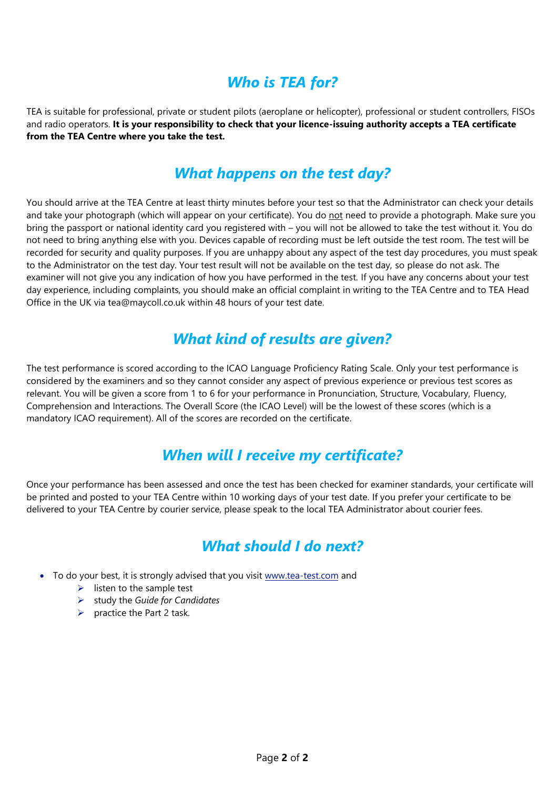## *Who is TEA for?*

TEA is suitable for professional, private or student pilots (aeroplane or helicopter), professional or student controllers, FISOs and radio operators. **It is your responsibility to check that your licence-issuing authority accepts a TEA certificate from the TEA Centre where you take the test.** 

### *What happens on the test day?*

You should arrive at the TEA Centre at least thirty minutes before your test so that the Administrator can check your details and take your photograph (which will appear on your certificate). You do not need to provide a photograph. Make sure you bring the passport or national identity card you registered with – you will not be allowed to take the test without it. You do not need to bring anything else with you. Devices capable of recording must be left outside the test room. The test will be recorded for security and quality purposes. If you are unhappy about any aspect of the test day procedures, you must speak to the Administrator on the test day. Your test result will not be available on the test day, so please do not ask. The examiner will not give you any indication of how you have performed in the test. If you have any concerns about your test day experience, including complaints, you should make an official complaint in writing to the TEA Centre and to TEA Head Office in the UK via tea@maycoll.co.uk within 48 hours of your test date.

### *What kind of results are given?*

The test performance is scored according to the ICAO Language Proficiency Rating Scale. Only your test performance is considered by the examiners and so they cannot consider any aspect of previous experience or previous test scores as relevant. You will be given a score from 1 to 6 for your performance in Pronunciation, Structure, Vocabulary, Fluency, Comprehension and Interactions. The Overall Score (the ICAO Level) will be the lowest of these scores (which is a mandatory ICAO requirement). All of the scores are recorded on the certificate.

### *When will I receive my certificate?*

Once your performance has been assessed and once the test has been checked for examiner standards, your certificate will be printed and posted to your TEA Centre within 10 working days of your test date. If you prefer your certificate to be delivered to your TEA Centre by courier service, please speak to the local TEA Administrator about courier fees.

## *What should I do next?*

- To do your best, it is strongly advised that you visit [www.tea-test.com](http://www.tea-test.com/) and
	- $\triangleright$  listen to the sample test
	- study the *Guide for Candidates*
	- $\triangleright$  practice the Part 2 task.